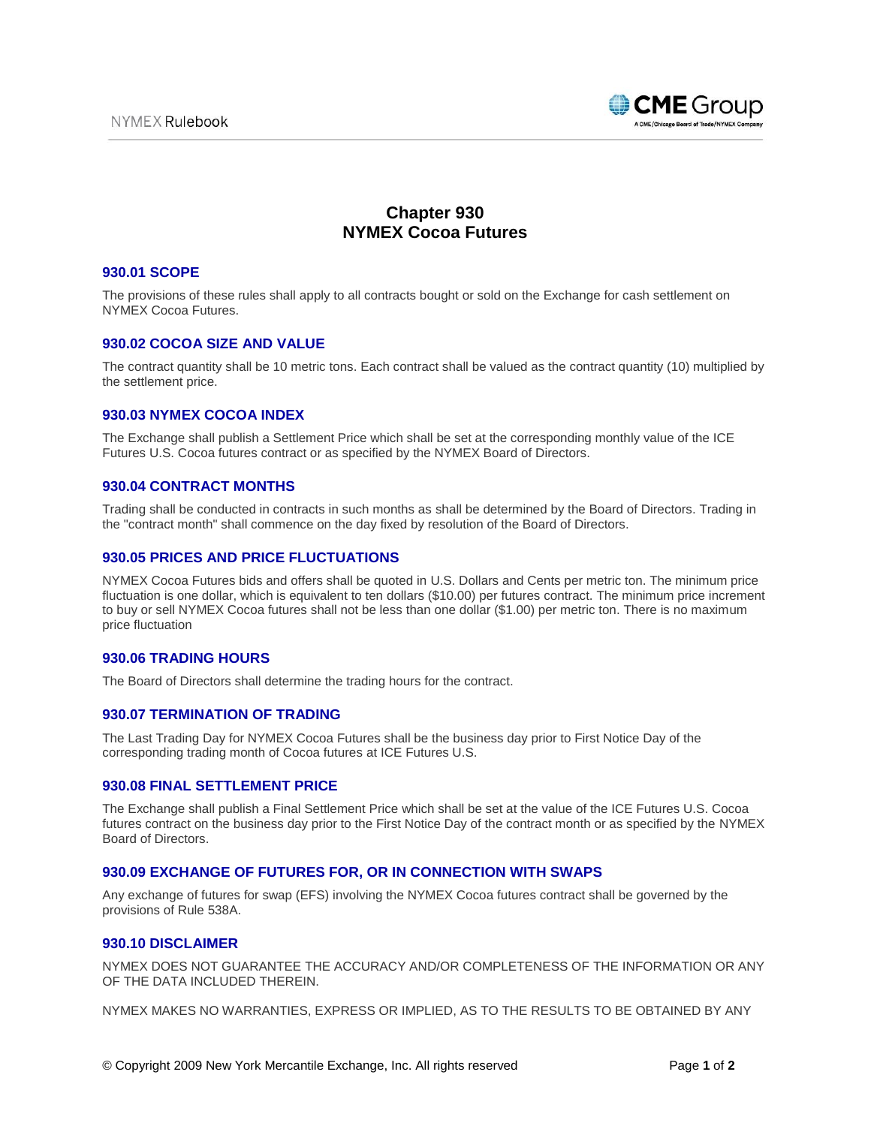

# **Chapter 930 NYMEX Cocoa Futures**

#### **930.01 SCOPE**

The provisions of these rules shall apply to all contracts bought or sold on the Exchange for cash settlement on NYMEX Cocoa Futures.

# **930.02 COCOA SIZE AND VALUE**

The contract quantity shall be 10 metric tons. Each contract shall be valued as the contract quantity (10) multiplied by the settlement price.

# **930.03 NYMEX COCOA INDEX**

The Exchange shall publish a Settlement Price which shall be set at the corresponding monthly value of the ICE Futures U.S. Cocoa futures contract or as specified by the NYMEX Board of Directors.

#### **930.04 CONTRACT MONTHS**

Trading shall be conducted in contracts in such months as shall be determined by the Board of Directors. Trading in the "contract month" shall commence on the day fixed by resolution of the Board of Directors.

## **930.05 PRICES AND PRICE FLUCTUATIONS**

NYMEX Cocoa Futures bids and offers shall be quoted in U.S. Dollars and Cents per metric ton. The minimum price fluctuation is one dollar, which is equivalent to ten dollars (\$10.00) per futures contract. The minimum price increment to buy or sell NYMEX Cocoa futures shall not be less than one dollar (\$1.00) per metric ton. There is no maximum price fluctuation

#### **930.06 TRADING HOURS**

The Board of Directors shall determine the trading hours for the contract.

## **930.07 TERMINATION OF TRADING**

The Last Trading Day for NYMEX Cocoa Futures shall be the business day prior to First Notice Day of the corresponding trading month of Cocoa futures at ICE Futures U.S.

#### **930.08 FINAL SETTLEMENT PRICE**

The Exchange shall publish a Final Settlement Price which shall be set at the value of the ICE Futures U.S. Cocoa futures contract on the business day prior to the First Notice Day of the contract month or as specified by the NYMEX Board of Directors.

## **930.09 EXCHANGE OF FUTURES FOR, OR IN CONNECTION WITH SWAPS**

Any exchange of futures for swap (EFS) involving the NYMEX Cocoa futures contract shall be governed by the provisions of Rule 538A.

## **930.10 DISCLAIMER**

NYMEX DOES NOT GUARANTEE THE ACCURACY AND/OR COMPLETENESS OF THE INFORMATION OR ANY OF THE DATA INCLUDED THEREIN.

NYMEX MAKES NO WARRANTIES, EXPRESS OR IMPLIED, AS TO THE RESULTS TO BE OBTAINED BY ANY